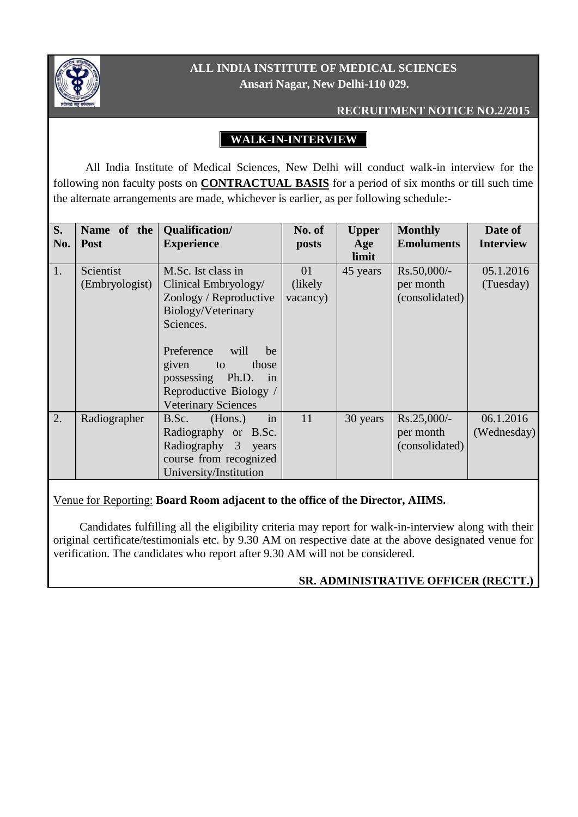

# **ALL INDIA INSTITUTE OF MEDICAL SCIENCES Ansari Nagar, New Delhi-110 029.**

#### **RECRUITMENT NOTICE NO.2/2015**

# **WALK-IN-INTERVIEW**

 All India Institute of Medical Sciences, New Delhi will conduct walk-in interview for the following non faculty posts on **CONTRACTUAL BASIS** for a period of six months or till such time the alternate arrangements are made, whichever is earlier, as per following schedule:-

| S.  | Name of the    | Qualification/             | No. of   | <b>Upper</b> | <b>Monthly</b>    | Date of          |
|-----|----------------|----------------------------|----------|--------------|-------------------|------------------|
| No. | <b>Post</b>    | <b>Experience</b>          | posts    | Age          | <b>Emoluments</b> | <b>Interview</b> |
|     |                |                            |          | limit        |                   |                  |
| 1.  | Scientist      | M.Sc. Ist class in         |          | 45 years     | Rs.50,000/-       | 05.1.2016        |
|     | (Embryologist) | Clinical Embryology/       | (likely) |              | per month         | (Tuesday)        |
|     |                | Zoology / Reproductive     | vacancy) |              | (consolidated)    |                  |
|     |                | Biology/Veterinary         |          |              |                   |                  |
|     |                | Sciences.                  |          |              |                   |                  |
|     |                |                            |          |              |                   |                  |
|     |                | Preference<br>will<br>be   |          |              |                   |                  |
|     |                | those<br>given<br>to       |          |              |                   |                  |
|     |                | possessing Ph.D.<br>in     |          |              |                   |                  |
|     |                | Reproductive Biology /     |          |              |                   |                  |
|     |                | <b>Veterinary Sciences</b> |          |              |                   |                  |
| 2.  | Radiographer   | (Hons.)<br>B.Sc.<br>in     | 11       | 30 years     | $Rs.25,000/-$     | 06.1.2016        |
|     |                | Radiography or B.Sc.       |          |              | per month         | (Wednesday)      |
|     |                | Radiography 3<br>years     |          |              | (consolidated)    |                  |
|     |                | course from recognized     |          |              |                   |                  |
|     |                | University/Institution     |          |              |                   |                  |

### Venue for Reporting: **Board Room adjacent to the office of the Director, AIIMS.**

Candidates fulfilling all the eligibility criteria may report for walk-in-interview along with their original certificate/testimonials etc. by 9.30 AM on respective date at the above designated venue for verification. The candidates who report after 9.30 AM will not be considered.

### **SR. ADMINISTRATIVE OFFICER (RECTT.)**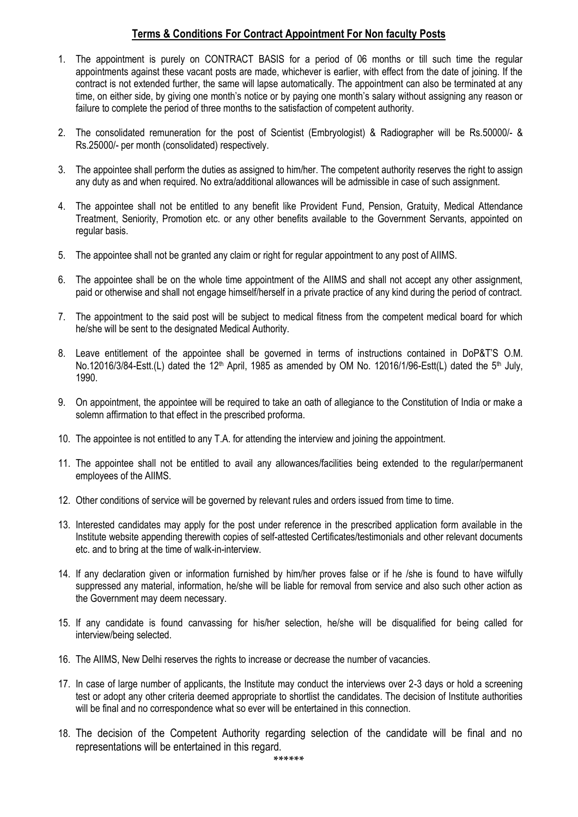### **Terms & Conditions For Contract Appointment For Non faculty Posts**

- 1. The appointment is purely on CONTRACT BASIS for a period of 06 months or till such time the regular appointments against these vacant posts are made, whichever is earlier, with effect from the date of joining. If the contract is not extended further, the same will lapse automatically. The appointment can also be terminated at any time, on either side, by giving one month's notice or by paying one month's salary without assigning any reason or failure to complete the period of three months to the satisfaction of competent authority.
- 2. The consolidated remuneration for the post of Scientist (Embryologist) & Radiographer will be Rs.50000/- & Rs.25000/- per month (consolidated) respectively.
- 3. The appointee shall perform the duties as assigned to him/her. The competent authority reserves the right to assign any duty as and when required. No extra/additional allowances will be admissible in case of such assignment.
- 4. The appointee shall not be entitled to any benefit like Provident Fund, Pension, Gratuity, Medical Attendance Treatment, Seniority, Promotion etc. or any other benefits available to the Government Servants, appointed on regular basis.
- 5. The appointee shall not be granted any claim or right for regular appointment to any post of AIIMS.
- 6. The appointee shall be on the whole time appointment of the AIIMS and shall not accept any other assignment, paid or otherwise and shall not engage himself/herself in a private practice of any kind during the period of contract.
- 7. The appointment to the said post will be subject to medical fitness from the competent medical board for which he/she will be sent to the designated Medical Authority.
- 8. Leave entitlement of the appointee shall be governed in terms of instructions contained in DoP&T'S O.M. No.12016/3/84-Estt.(L) dated the 12<sup>th</sup> April, 1985 as amended by OM No. 12016/1/96-Estt(L) dated the 5<sup>th</sup> July, 1990.
- 9. On appointment, the appointee will be required to take an oath of allegiance to the Constitution of India or make a solemn affirmation to that effect in the prescribed proforma.
- 10. The appointee is not entitled to any T.A. for attending the interview and joining the appointment.
- 11. The appointee shall not be entitled to avail any allowances/facilities being extended to the regular/permanent employees of the AIIMS.
- 12. Other conditions of service will be governed by relevant rules and orders issued from time to time.
- 13. Interested candidates may apply for the post under reference in the prescribed application form available in the Institute website appending therewith copies of self-attested Certificates/testimonials and other relevant documents etc. and to bring at the time of walk-in-interview.
- 14. If any declaration given or information furnished by him/her proves false or if he /she is found to have wilfully suppressed any material, information, he/she will be liable for removal from service and also such other action as the Government may deem necessary.
- 15. If any candidate is found canvassing for his/her selection, he/she will be disqualified for being called for interview/being selected.
- 16. The AIIMS, New Delhi reserves the rights to increase or decrease the number of vacancies.
- 17. In case of large number of applicants, the Institute may conduct the interviews over 2-3 days or hold a screening test or adopt any other criteria deemed appropriate to shortlist the candidates. The decision of Institute authorities will be final and no correspondence what so ever will be entertained in this connection.
- 18. The decision of the Competent Authority regarding selection of the candidate will be final and no representations will be entertained in this regard.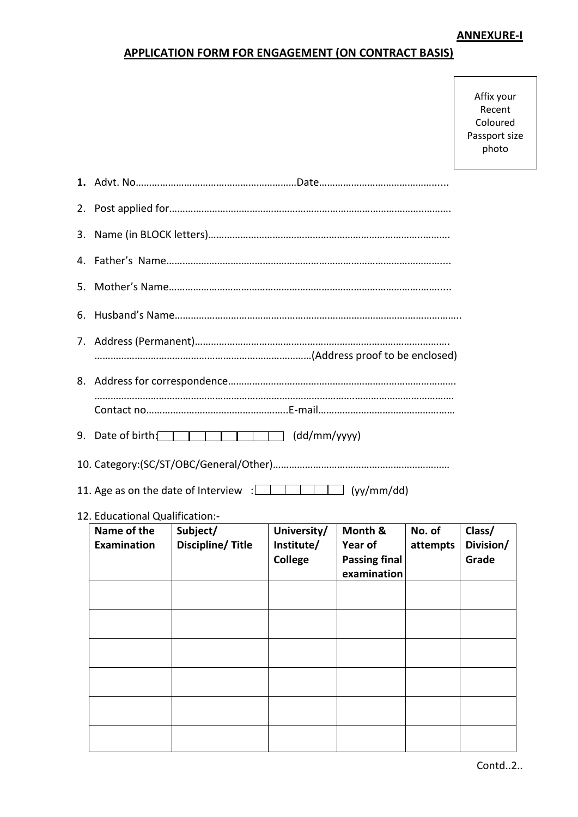## **ANNEXURE-I**

## **APPLICATION FORM FOR ENGAGEMENT (ON CONTRACT BASIS)**

| Affix your    |  |  |  |  |  |
|---------------|--|--|--|--|--|
| Recent        |  |  |  |  |  |
| Coloured      |  |  |  |  |  |
| Passport size |  |  |  |  |  |
| photo         |  |  |  |  |  |

|                                   | 9. Date of birth: $\sqrt{1 + 1 + 1}$ (dd/mm/yyyy)                                        |                                      |                                                           |                    |                              |  |  |
|-----------------------------------|------------------------------------------------------------------------------------------|--------------------------------------|-----------------------------------------------------------|--------------------|------------------------------|--|--|
|                                   |                                                                                          |                                      |                                                           |                    |                              |  |  |
|                                   | 11. Age as on the date of Interview $\frac{1}{2}$ $\frac{1}{2}$ $\frac{1}{2}$ (yy/mm/dd) |                                      |                                                           |                    |                              |  |  |
| 12. Educational Qualification:-   |                                                                                          |                                      |                                                           |                    |                              |  |  |
| Name of the<br><b>Examination</b> | Subject/<br>Discipline/Title                                                             | University/<br>Institute/<br>College | Month &<br>Year of<br><b>Passing final</b><br>examination | No. of<br>attempts | Class/<br>Division/<br>Grade |  |  |
|                                   |                                                                                          |                                      |                                                           |                    |                              |  |  |
|                                   |                                                                                          |                                      |                                                           |                    |                              |  |  |
|                                   |                                                                                          |                                      |                                                           |                    |                              |  |  |
|                                   |                                                                                          |                                      |                                                           |                    |                              |  |  |
|                                   |                                                                                          |                                      |                                                           |                    |                              |  |  |